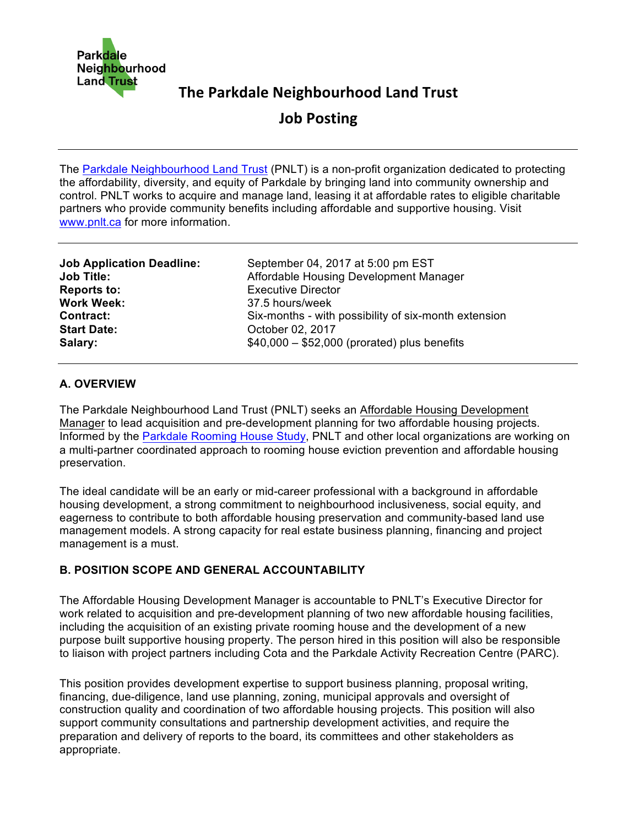

# **The Parkdale Neighbourhood Land Trust**

**Job Posting**

The Parkdale Neighbourhood Land Trust (PNLT) is a non-profit organization dedicated to protecting the affordability, diversity, and equity of Parkdale by bringing land into community ownership and control. PNLT works to acquire and manage land, leasing it at affordable rates to eligible charitable partners who provide community benefits including affordable and supportive housing. Visit www.pnlt.ca for more information.

| <b>Job Application Deadline:</b> | September 04, 2017 at 5:00 pm EST                    |
|----------------------------------|------------------------------------------------------|
| <b>Job Title:</b>                | Affordable Housing Development Manager               |
| <b>Reports to:</b>               | <b>Executive Director</b>                            |
| <b>Work Week:</b>                | 37.5 hours/week                                      |
| <b>Contract:</b>                 | Six-months - with possibility of six-month extension |
| <b>Start Date:</b>               | October 02, 2017                                     |
| Salary:                          | $$40,000 - $52,000$ (prorated) plus benefits         |

### **A. OVERVIEW**

The Parkdale Neighbourhood Land Trust (PNLT) seeks an Affordable Housing Development Manager to lead acquisition and pre-development planning for two affordable housing projects. Informed by the Parkdale Rooming House Study, PNLT and other local organizations are working on a multi-partner coordinated approach to rooming house eviction prevention and affordable housing preservation.

The ideal candidate will be an early or mid-career professional with a background in affordable housing development, a strong commitment to neighbourhood inclusiveness, social equity, and eagerness to contribute to both affordable housing preservation and community-based land use management models. A strong capacity for real estate business planning, financing and project management is a must.

## **B. POSITION SCOPE AND GENERAL ACCOUNTABILITY**

The Affordable Housing Development Manager is accountable to PNLT's Executive Director for work related to acquisition and pre-development planning of two new affordable housing facilities, including the acquisition of an existing private rooming house and the development of a new purpose built supportive housing property. The person hired in this position will also be responsible to liaison with project partners including Cota and the Parkdale Activity Recreation Centre (PARC).

This position provides development expertise to support business planning, proposal writing, financing, due-diligence, land use planning, zoning, municipal approvals and oversight of construction quality and coordination of two affordable housing projects. This position will also support community consultations and partnership development activities, and require the preparation and delivery of reports to the board, its committees and other stakeholders as appropriate.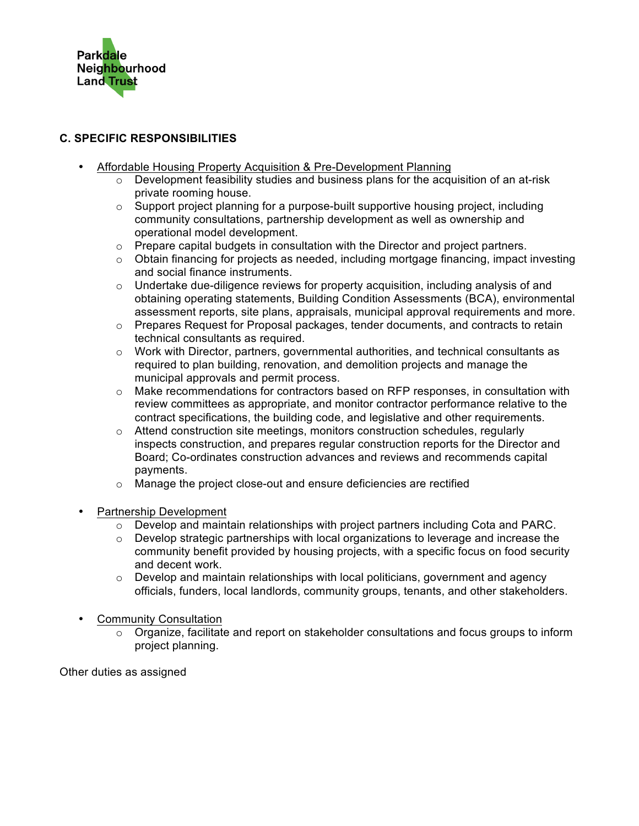

## **C. SPECIFIC RESPONSIBILITIES**

- Affordable Housing Property Acquisition & Pre-Development Planning
	- $\circ$  Development feasibility studies and business plans for the acquisition of an at-risk private rooming house.
	- $\circ$  Support project planning for a purpose-built supportive housing project, including community consultations, partnership development as well as ownership and operational model development.
	- $\circ$  Prepare capital budgets in consultation with the Director and project partners.
	- $\circ$  Obtain financing for projects as needed, including mortgage financing, impact investing and social finance instruments.
	- $\circ$  Undertake due-diligence reviews for property acquisition, including analysis of and obtaining operating statements, Building Condition Assessments (BCA), environmental assessment reports, site plans, appraisals, municipal approval requirements and more.
	- $\circ$  Prepares Request for Proposal packages, tender documents, and contracts to retain technical consultants as required.
	- $\circ$  Work with Director, partners, governmental authorities, and technical consultants as required to plan building, renovation, and demolition projects and manage the municipal approvals and permit process.
	- $\circ$  Make recommendations for contractors based on RFP responses, in consultation with review committees as appropriate, and monitor contractor performance relative to the contract specifications, the building code, and legislative and other requirements.
	- o Attend construction site meetings, monitors construction schedules, regularly inspects construction, and prepares regular construction reports for the Director and Board; Co-ordinates construction advances and reviews and recommends capital payments.
	- o Manage the project close-out and ensure deficiencies are rectified
- Partnership Development
	- $\circ$  Develop and maintain relationships with project partners including Cota and PARC.
	- $\circ$  Develop strategic partnerships with local organizations to leverage and increase the community benefit provided by housing projects, with a specific focus on food security and decent work.
	- $\circ$  Develop and maintain relationships with local politicians, government and agency officials, funders, local landlords, community groups, tenants, and other stakeholders.
- Community Consultation
	- $\circ$  Organize, facilitate and report on stakeholder consultations and focus groups to inform project planning.

Other duties as assigned